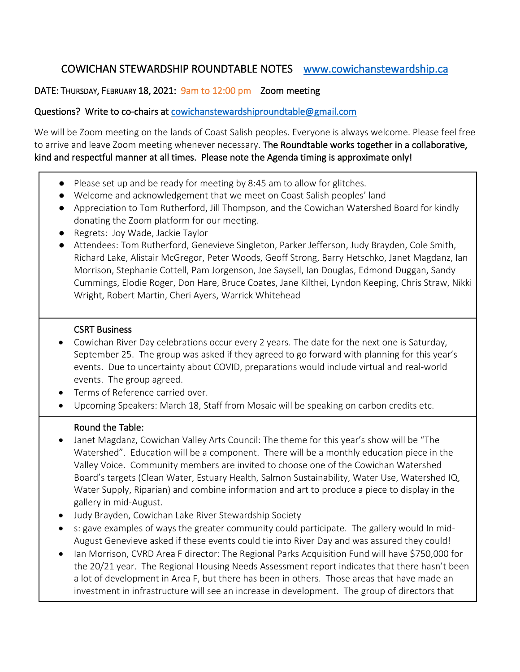# COWICHAN STEWARDSHIP ROUNDTABLE NOTES [www.cowichanstewardship.ca](http://www.cowichanstewardship.ca/)

## DATE: THURSDAY, FEBRUARY 18, 2021: 9am to 12:00 pm Zoom meeting

### Questions? Write to co-chairs at [cowichanstewardshiproundtable@gmail.com](mailto:cowichanstewardshiproundtable@gmail.com)

We will be Zoom meeting on the lands of Coast Salish peoples. Everyone is always welcome. Please feel free to arrive and leave Zoom meeting whenever necessary. The Roundtable works together in a collaborative, kind and respectful manner at all times. Please note the Agenda timing is approximate only!

- Please set up and be ready for meeting by 8:45 am to allow for glitches.
- Welcome and acknowledgement that we meet on Coast Salish peoples' land
- Appreciation to Tom Rutherford, Jill Thompson, and the Cowichan Watershed Board for kindly donating the Zoom platform for our meeting.
- Regrets: Joy Wade, Jackie Taylor
- Attendees: Tom Rutherford, Genevieve Singleton, Parker Jefferson, Judy Brayden, Cole Smith, Richard Lake, Alistair McGregor, Peter Woods, Geoff Strong, Barry Hetschko, Janet Magdanz, Ian Morrison, Stephanie Cottell, Pam Jorgenson, Joe Saysell, Ian Douglas, Edmond Duggan, Sandy Cummings, Elodie Roger, Don Hare, Bruce Coates, Jane Kilthei, Lyndon Keeping, Chris Straw, Nikki Wright, Robert Martin, Cheri Ayers, Warrick Whitehead

#### CSRT Business

- Cowichan River Day celebrations occur every 2 years. The date for the next one is Saturday, September 25. The group was asked if they agreed to go forward with planning for this year's events. Due to uncertainty about COVID, preparations would include virtual and real-world events. The group agreed.
- Terms of Reference carried over.
- Upcoming Speakers: March 18, Staff from Mosaic will be speaking on carbon credits etc.

#### Round the Table:

- Janet Magdanz, Cowichan Valley Arts Council: The theme for this year's show will be "The Watershed". Education will be a component. There will be a monthly education piece in the Valley Voice. Community members are invited to choose one of the Cowichan Watershed Board's targets (Clean Water, Estuary Health, Salmon Sustainability, Water Use, Watershed IQ, Water Supply, Riparian) and combine information and art to produce a piece to display in the gallery in mid-August.
- Judy Brayden, Cowichan Lake River Stewardship Society
- s: gave examples of ways the greater community could participate. The gallery would In mid-August Genevieve asked if these events could tie into River Day and was assured they could!
- Ian Morrison, CVRD Area F director: The Regional Parks Acquisition Fund will have \$750,000 for the 20/21 year. The Regional Housing Needs Assessment report indicates that there hasn't been a lot of development in Area F, but there has been in others. Those areas that have made an investment in infrastructure will see an increase in development. The group of directors that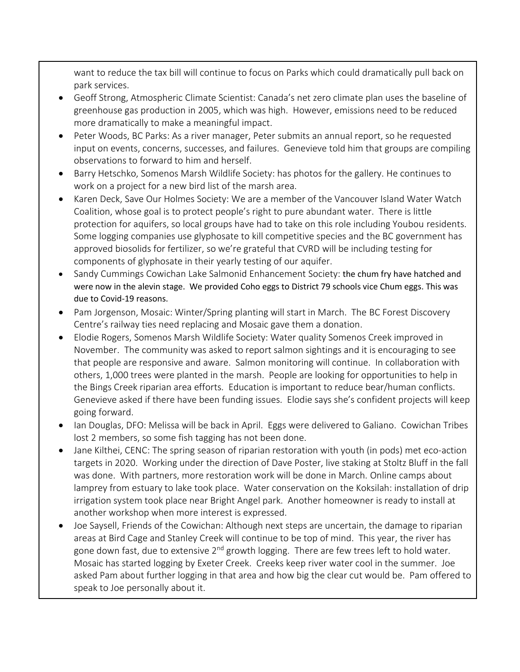want to reduce the tax bill will continue to focus on Parks which could dramatically pull back on park services.

- Geoff Strong, Atmospheric Climate Scientist: Canada's net zero climate plan uses the baseline of greenhouse gas production in 2005, which was high. However, emissions need to be reduced more dramatically to make a meaningful impact.
- Peter Woods, BC Parks: As a river manager, Peter submits an annual report, so he requested input on events, concerns, successes, and failures. Genevieve told him that groups are compiling observations to forward to him and herself.
- Barry Hetschko, Somenos Marsh Wildlife Society: has photos for the gallery. He continues to work on a project for a new bird list of the marsh area.
- Karen Deck, Save Our Holmes Society: We are a member of the Vancouver Island Water Watch Coalition, whose goal is to protect people's right to pure abundant water. There is little protection for aquifers, so local groups have had to take on this role including Youbou residents. Some logging companies use glyphosate to kill competitive species and the BC government has approved biosolids for fertilizer, so we're grateful that CVRD will be including testing for components of glyphosate in their yearly testing of our aquifer.
- Sandy Cummings Cowichan Lake Salmonid Enhancement Society: the chum fry have hatched and were now in the alevin stage. We provided Coho eggs to District 79 schools vice Chum eggs. This was due to Covid-19 reasons.
- Pam Jorgenson, Mosaic: Winter/Spring planting will start in March. The BC Forest Discovery Centre's railway ties need replacing and Mosaic gave them a donation.
- Elodie Rogers, Somenos Marsh Wildlife Society: Water quality Somenos Creek improved in November. The community was asked to report salmon sightings and it is encouraging to see that people are responsive and aware. Salmon monitoring will continue. In collaboration with others, 1,000 trees were planted in the marsh. People are looking for opportunities to help in the Bings Creek riparian area efforts. Education is important to reduce bear/human conflicts. Genevieve asked if there have been funding issues. Elodie says she's confident projects will keep going forward.
- Ian Douglas, DFO: Melissa will be back in April. Eggs were delivered to Galiano. Cowichan Tribes lost 2 members, so some fish tagging has not been done.
- Jane Kilthei, CENC: The spring season of riparian restoration with youth (in pods) met eco-action targets in 2020. Working under the direction of Dave Poster, live staking at Stoltz Bluff in the fall was done. With partners, more restoration work will be done in March. Online camps about lamprey from estuary to lake took place. Water conservation on the Koksilah: installation of drip irrigation system took place near Bright Angel park. Another homeowner is ready to install at another workshop when more interest is expressed.
- Joe Saysell, Friends of the Cowichan: Although next steps are uncertain, the damage to riparian areas at Bird Cage and Stanley Creek will continue to be top of mind. This year, the river has gone down fast, due to extensive  $2^{nd}$  growth logging. There are few trees left to hold water. Mosaic has started logging by Exeter Creek. Creeks keep river water cool in the summer. Joe asked Pam about further logging in that area and how big the clear cut would be. Pam offered to speak to Joe personally about it.